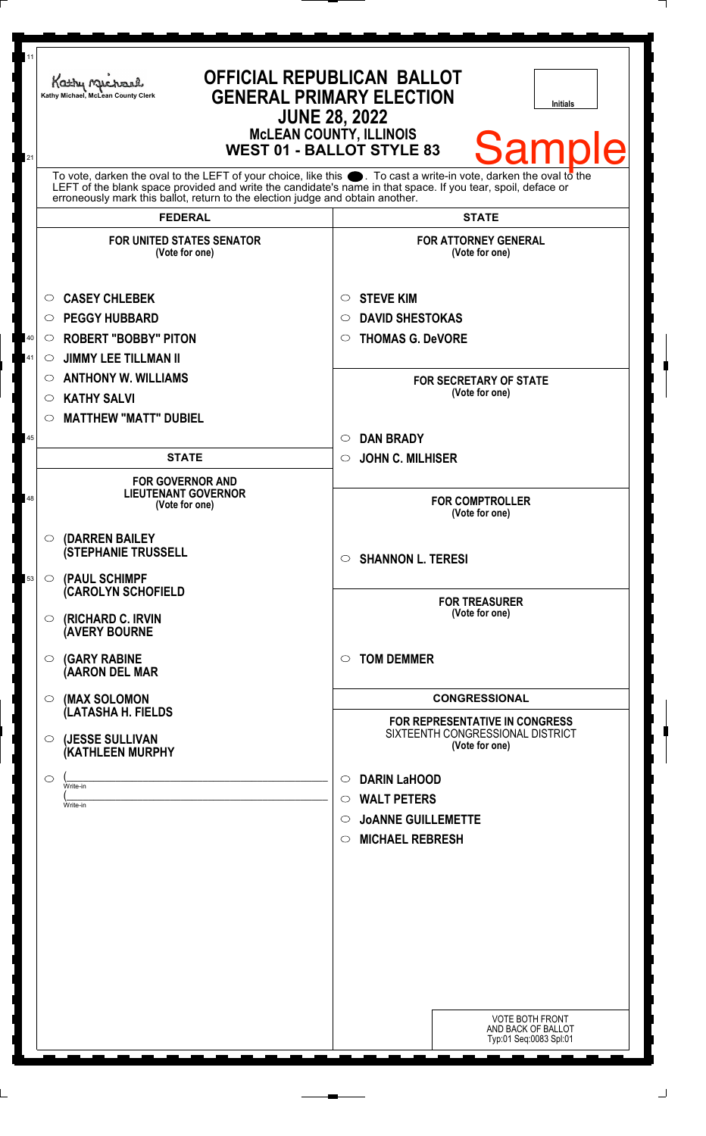| <b>OFFICIAL REPUBLICAN BALLOT</b><br>Kathy Michael<br><b>GENERAL PRIMARY ELECTION</b><br>Kathy Michael, McLean County Clerk<br><b>Initials</b><br><b>JUNE 28, 2022</b><br><b>McLEAN COUNTY, ILLINOIS</b><br><b>Sample</b><br><b>WEST 01 - BALLOT STYLE 83</b> |                                                                                                                                                                                                                                            |
|---------------------------------------------------------------------------------------------------------------------------------------------------------------------------------------------------------------------------------------------------------------|--------------------------------------------------------------------------------------------------------------------------------------------------------------------------------------------------------------------------------------------|
| erroneously mark this ballot, return to the election judge and obtain another.                                                                                                                                                                                | To vote, darken the oval to the LEFT of your choice, like this $\bullet$ . To cast a write-in vote, darken the oval to the<br>LEFT of the blank space provided and write the candidate's name in that space. If you tear, spoil, deface or |
| <b>FEDERAL</b>                                                                                                                                                                                                                                                | <b>STATE</b>                                                                                                                                                                                                                               |
| <b>FOR UNITED STATES SENATOR</b><br>(Vote for one)                                                                                                                                                                                                            | <b>FOR ATTORNEY GENERAL</b><br>(Vote for one)                                                                                                                                                                                              |
| <b>CASEY CHLEBEK</b><br>O                                                                                                                                                                                                                                     | <b>STEVE KIM</b><br>O                                                                                                                                                                                                                      |
| <b>PEGGY HUBBARD</b><br>$\circ$                                                                                                                                                                                                                               | <b>DAVID SHESTOKAS</b><br>◯                                                                                                                                                                                                                |
| <b>ROBERT "BOBBY" PITON</b><br>$\circ$                                                                                                                                                                                                                        | <b>THOMAS G. DeVORE</b><br>$\circ$                                                                                                                                                                                                         |
| <b>JIMMY LEE TILLMAN II</b><br>$\circ$                                                                                                                                                                                                                        |                                                                                                                                                                                                                                            |
| <b>ANTHONY W. WILLIAMS</b><br>O                                                                                                                                                                                                                               | <b>FOR SECRETARY OF STATE</b>                                                                                                                                                                                                              |
| <b>KATHY SALVI</b><br>O                                                                                                                                                                                                                                       | (Vote for one)                                                                                                                                                                                                                             |
| <b>MATTHEW "MATT" DUBIEL</b><br>$\circ$                                                                                                                                                                                                                       |                                                                                                                                                                                                                                            |
|                                                                                                                                                                                                                                                               | <b>DAN BRADY</b><br>$\circ$                                                                                                                                                                                                                |
| <b>STATE</b>                                                                                                                                                                                                                                                  | <b>JOHN C. MILHISER</b><br>$\circ$                                                                                                                                                                                                         |
| <b>FOR GOVERNOR AND</b><br><b>LIEUTENANT GOVERNOR</b><br>(Vote for one)                                                                                                                                                                                       | <b>FOR COMPTROLLER</b><br>(Vote for one)                                                                                                                                                                                                   |
| (DARREN BAILEY<br>$\circ$<br><b>(STEPHANIE TRUSSELL</b>                                                                                                                                                                                                       | <b>SHANNON L. TERESI</b><br>$\circ$                                                                                                                                                                                                        |
| (PAUL SCHIMPF<br>$\circ$<br>(CAROLYN SCHOFIELD                                                                                                                                                                                                                | <b>FOR TREASURER</b>                                                                                                                                                                                                                       |
| (RICHARD C. IRVIN<br>$\circ$<br><b>(AVERY BOURNE</b>                                                                                                                                                                                                          | (Vote for one)                                                                                                                                                                                                                             |
| <b>(GARY RABINE</b><br>$\circ$<br>(AARON DEL MAR                                                                                                                                                                                                              | <b>TOM DEMMER</b><br>$\circ$                                                                                                                                                                                                               |
| (MAX SOLOMON<br>$\circ$                                                                                                                                                                                                                                       | <b>CONGRESSIONAL</b>                                                                                                                                                                                                                       |
| (LATASHA H. FIELDS<br>(JESSE SULLIVAN<br>$\circ$<br>(KATHLEEN MURPHY                                                                                                                                                                                          | <b>FOR REPRESENTATIVE IN CONGRESS</b><br>SIXTEENTH CONGRESSIONAL DISTRICT<br>(Vote for one)                                                                                                                                                |
| O                                                                                                                                                                                                                                                             | <b>DARIN LaHOOD</b><br>$\circ$                                                                                                                                                                                                             |
| Write-in                                                                                                                                                                                                                                                      | <b>WALT PETERS</b><br>$\circ$                                                                                                                                                                                                              |
| Write-in                                                                                                                                                                                                                                                      | <b>JOANNE GUILLEMETTE</b><br>$\circ$                                                                                                                                                                                                       |
|                                                                                                                                                                                                                                                               | <b>MICHAEL REBRESH</b><br>$\circ$                                                                                                                                                                                                          |
|                                                                                                                                                                                                                                                               |                                                                                                                                                                                                                                            |
|                                                                                                                                                                                                                                                               |                                                                                                                                                                                                                                            |
|                                                                                                                                                                                                                                                               |                                                                                                                                                                                                                                            |
|                                                                                                                                                                                                                                                               |                                                                                                                                                                                                                                            |
|                                                                                                                                                                                                                                                               |                                                                                                                                                                                                                                            |
|                                                                                                                                                                                                                                                               |                                                                                                                                                                                                                                            |
|                                                                                                                                                                                                                                                               |                                                                                                                                                                                                                                            |
|                                                                                                                                                                                                                                                               |                                                                                                                                                                                                                                            |
|                                                                                                                                                                                                                                                               | <b>VOTE BOTH FRONT</b><br>AND BACK OF BALLOT                                                                                                                                                                                               |